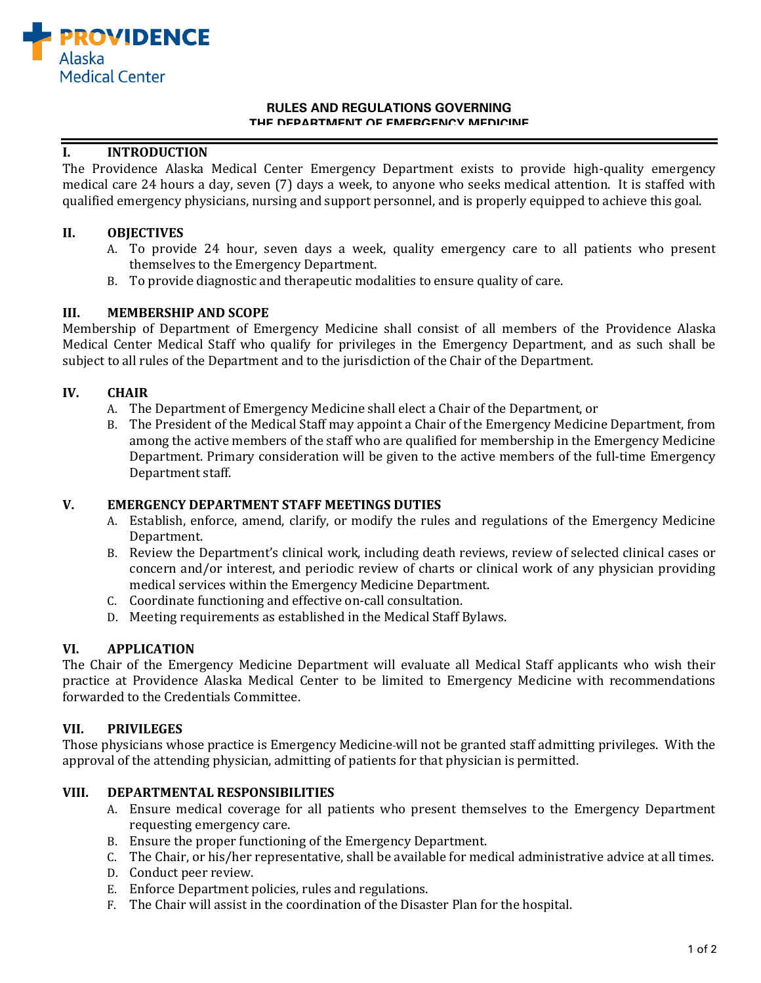

#### **RULES AND REGULATIONS GOVERNING THE DEPARTMENT OF EMERGENCY MEDICINE**

# **I. INTRODUCTION**

The Providence Alaska Medical Center Emergency Department exists to provide high-quality emergency medical care 24 hours a day, seven (7) days a week, to anyone who seeks medical attention. It is staffed with qualified emergency physicians, nursing and support personnel, and is properly equipped to achieve this goal.

## **II. OBJECTIVES**

- A. To provide 24 hour, seven days a week, quality emergency care to all patients who present themselves to the Emergency Department.
- B. To provide diagnostic and therapeutic modalities to ensure quality of care.

#### **III. MEMBERSHIP AND SCOPE**

Membership of Department of Emergency Medicine shall consist of all members of the Providence Alaska Medical Center Medical Staff who qualify for privileges in the Emergency Department, and as such shall be subject to all rules of the Department and to the jurisdiction of the Chair of the Department.

### **IV. CHAIR**

- A. The Department of Emergency Medicine shall elect a Chair of the Department, or
- B. The President of the Medical Staff may appoint a Chair of the Emergency Medicine Department, from among the active members of the staff who are qualified for membership in the Emergency Medicine Department. Primary consideration will be given to the active members of the full-time Emergency Department staff.

### **V. EMERGENCY DEPARTMENT STAFF MEETINGS DUTIES**

- A. Establish, enforce, amend, clarify, or modify the rules and regulations of the Emergency Medicine Department.
- B. Review the Department's clinical work, including death reviews, review of selected clinical cases or concern and/or interest, and periodic review of charts or clinical work of any physician providing medical services within the Emergency Medicine Department.
- C. Coordinate functioning and effective on-call consultation.
- D. Meeting requirements as established in the Medical Staff Bylaws.

### **VI. APPLICATION**

The Chair of the Emergency Medicine Department will evaluate all Medical Staff applicants who wish their practice at Providence Alaska Medical Center to be limited to Emergency Medicine with recommendations forwarded to the Credentials Committee.

### **VII. PRIVILEGES**

Those physicians whose practice is Emergency Medicine will not be granted staff admitting privileges. With the approval of the attending physician, admitting of patients for that physician is permitted.

### **VIII. DEPARTMENTAL RESPONSIBILITIES**

- A. Ensure medical coverage for all patients who present themselves to the Emergency Department requesting emergency care.
- B. Ensure the proper functioning of the Emergency Department.
- C. The Chair, or his/her representative, shall be available for medical administrative advice at all times.
- D. Conduct peer review.
- E. Enforce Department policies, rules and regulations.
- F. The Chair will assist in the coordination of the Disaster Plan for the hospital.